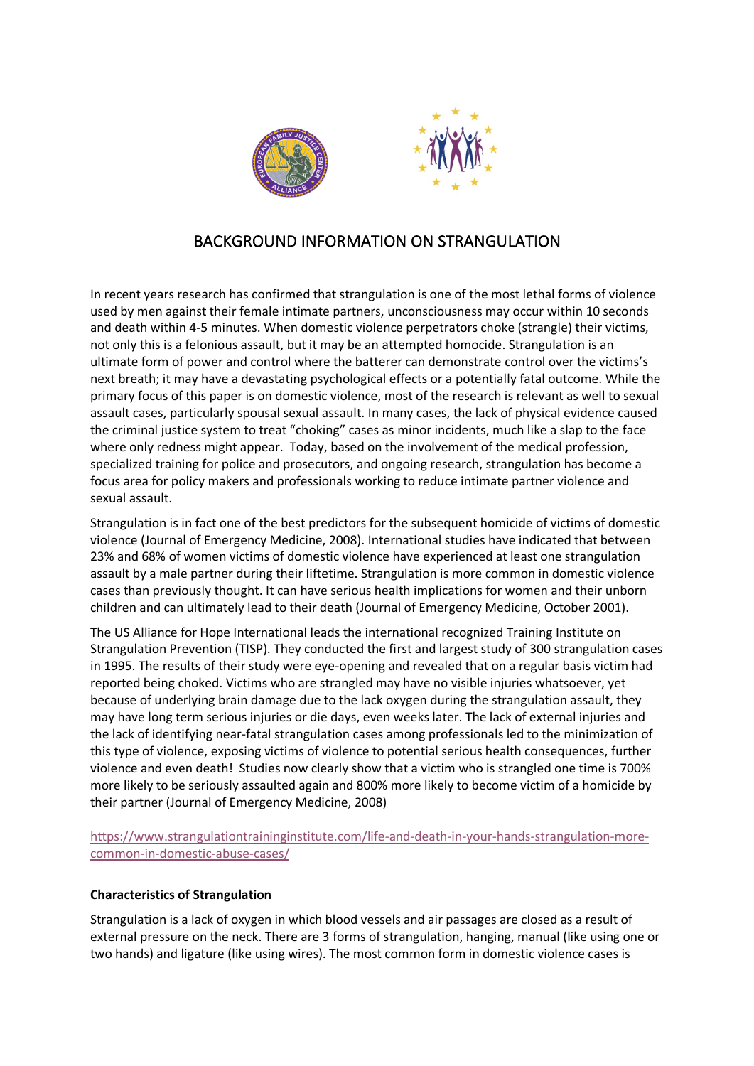

## BACKGROUND INFORMATION ON STRANGULATION

In recent years research has confirmed that strangulation is one of the most lethal forms of violence used by men against their female intimate partners, unconsciousness may occur within 10 seconds and death within 4-5 minutes. When domestic violence perpetrators choke (strangle) their victims, not only this is a felonious assault, but it may be an attempted homocide. Strangulation is an ultimate form of power and control where the batterer can demonstrate control over the victims's next breath; it may have a devastating psychological effects or a potentially fatal outcome. While the primary focus of this paper is on domestic violence, most of the research is relevant as well to sexual assault cases, particularly spousal sexual assault. In many cases, the lack of physical evidence caused the criminal justice system to treat "choking" cases as minor incidents, much like a slap to the face where only redness might appear. Today, based on the involvement of the medical profession, specialized training for police and prosecutors, and ongoing research, strangulation has become a focus area for policy makers and professionals working to reduce intimate partner violence and sexual assault.

Strangulation is in fact one of the best predictors for the subsequent homicide of victims of domestic violence (Journal of Emergency Medicine, 2008). International studies have indicated that between 23% and 68% of women victims of domestic violence have experienced at least one strangulation assault by a male partner during their liftetime. Strangulation is more common in domestic violence cases than previously thought. It can have serious health implications for women and their unborn children and can ultimately lead to their death (Journal of Emergency Medicine, October 2001).

The US Alliance for Hope International leads the international recognized Training Institute on Strangulation Prevention (TISP). They conducted the first and largest study of 300 strangulation cases in 1995. The results of their study were eye-opening and revealed that on a regular basis victim had reported being choked. Victims who are strangled may have no visible injuries whatsoever, yet because of underlying brain damage due to the lack oxygen during the strangulation assault, they may have long term serious injuries or die days, even weeks later. The lack of external injuries and the lack of identifying near-fatal strangulation cases among professionals led to the minimization of this type of violence, exposing victims of violence to potential serious health consequences, further violence and even death! Studies now clearly show that a victim who is strangled one time is 700% more likely to be seriously assaulted again and 800% more likely to become victim of a homicide by their partner (Journal of Emergency Medicine, 2008)

https://www.strangulationtraininginstitute.com/life-and-death-in-your-hands-strangulation-morecommon-in-domestic-abuse-cases/

## **Characteristics of Strangulation**

Strangulation is a lack of oxygen in which blood vessels and air passages are closed as a result of external pressure on the neck. There are 3 forms of strangulation, hanging, manual (like using one or two hands) and ligature (like using wires). The most common form in domestic violence cases is